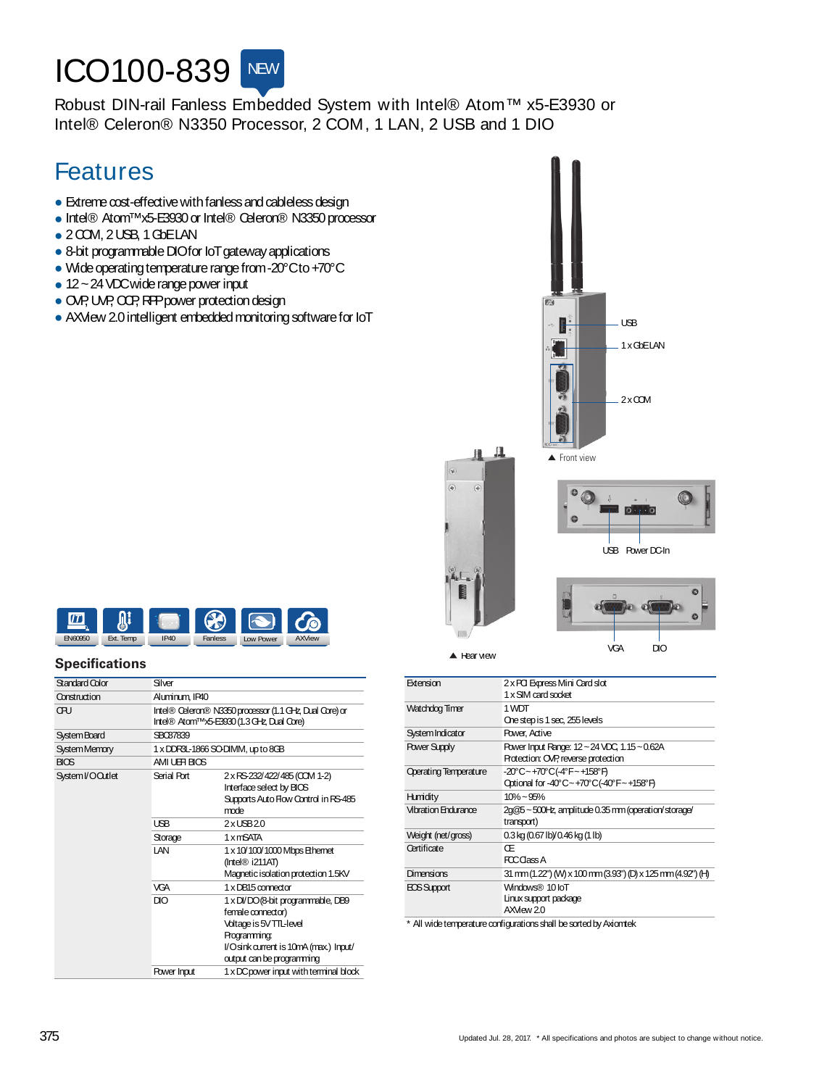# **ICO100-839** NEW

Robust DIN-rail Fanless Embedded System with Intel® Atom™ x5-E3930 or Intel® Celeron® N3350 Processor, 2 COM, 1 LAN, 2 USB and 1 DIO

## Features

- $\bullet$  Extreme cost-effective with fanless and cableless design
- Intel® Atom™x5-E3930 or Intel® Celeron® N3350 processor
- 2 COM, 2 USB, 1 GbELAN
- 8-bit programmable DIOfor IoT gateway applications
- Wide operating temperature range from -20°Cto +70°C
- $\bullet$  12 ~ 24 VDC wide range power input
- OVP, UVP, CCP, RPP power protection design
- e AXView 2.0 intelligent embedded monitoring software for IoT **USB ENET AND THE USB**





#### **Specifications**

| Standard Color   | Silver         |                                                                                                                                                                          |
|------------------|----------------|--------------------------------------------------------------------------------------------------------------------------------------------------------------------------|
| Construction     | Aluminum, IP40 |                                                                                                                                                                          |
| ŒU               |                | Intel® Celeron® N3350 processor (1.1 GHz Dual Core) or<br>Intel® Atom™x5-E3930 (1.3 GHz Dual Core)                                                                       |
| System Board     | SBC87839       |                                                                                                                                                                          |
| System Memory    |                | 1 x DDR3L-1866 SO-DIMM, up to 8GB                                                                                                                                        |
| <b>BIOS</b>      | AMI UEH BIOS   |                                                                                                                                                                          |
| System I/OQutlet | Serial Port    | 2 x RS-232/422/485 (COM 1-2)<br>Interface select by BICS<br>Supports Auto Flow Control in RS-485<br>mode                                                                 |
|                  | <b>USB</b>     | $2x$ USB $20$                                                                                                                                                            |
|                  | Storage        | 1 x mSATA                                                                                                                                                                |
|                  | I AN           | 1 x 10/100/1000 Mbps Ethernet<br>$($ Intel $\circledR$ i211AT)<br>Magnetic isolation protection 1.5KV                                                                    |
|                  | <b>VGA</b>     | 1 x DB15 connector                                                                                                                                                       |
|                  | DIO            | 1 x DI/DO (8-bit programmable, DB9<br>female connector)<br>Voltage is 5V TTL-level<br>Programming:<br>l/Osink current is 10mA (max.) Input/<br>output can be programming |
|                  | Power Input    | 1 x DC power input with terminal block                                                                                                                                   |

| Extension                    | 2 x PCI Express Mini Card slot<br>1 x SIM card socket                               |  |
|------------------------------|-------------------------------------------------------------------------------------|--|
| Watchdog Timer               | 1 WDT<br>One step is 1 sec, 255 levels                                              |  |
| System Indicator             | <b>Power, Active</b>                                                                |  |
| <b>Power Supply</b>          | Power Input Range: 12 ~ 24 VDC, 1.15 ~ 0.62A<br>Protection: OVP, reverse protection |  |
| <b>Operating Temperature</b> | -20°C~+70°C(-4°F~+158°F)<br>Qotional for -40°C~+70°C(-40°F~+158°F)                  |  |
| Humidity                     | $10\% - 95\%$                                                                       |  |
| <b>Vibration Endurance</b>   | 2g@5~500Hz, amplitude 0.35 mm (operation/storage/<br>transport)                     |  |
| Weight (net/gross)           | 0.3 kg (0.67 lb)/0.46 kg (1 lb)                                                     |  |
| Certificate                  | Œ<br>FCC Class A                                                                    |  |
| Dimensions                   | 31 mm (1.22") (M) x 100 mm (3.93") (D) x 125 mm (4.92") (H)                         |  |
| EOS Support                  | Windows® 10 IoT<br>Linux support package<br>AXMew 2.0                               |  |
|                              | * All wide temperature configurations shall be sorted by Axiomtek                   |  |